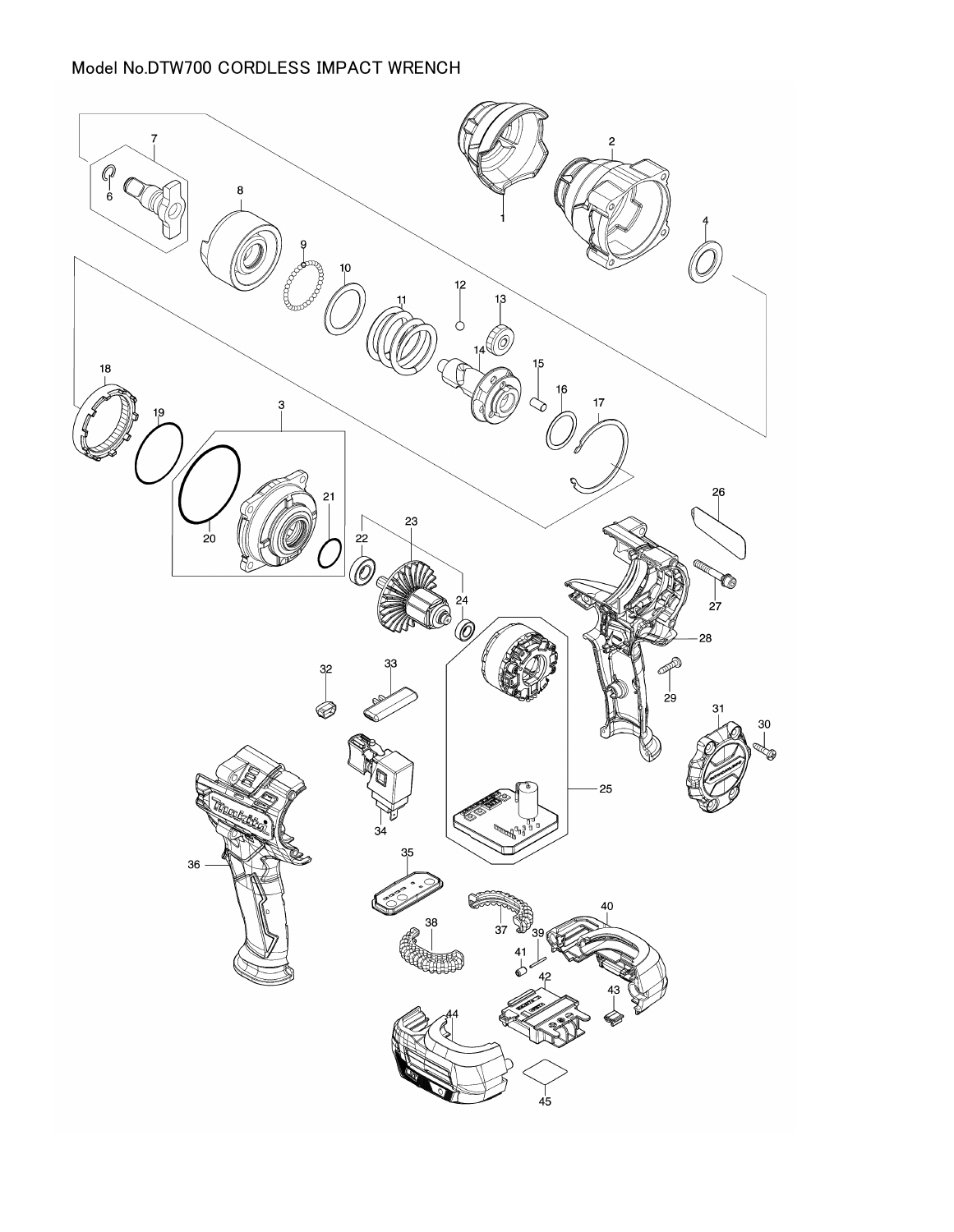## Model No.DTW700 CORDLESS IMPACT WRENCH

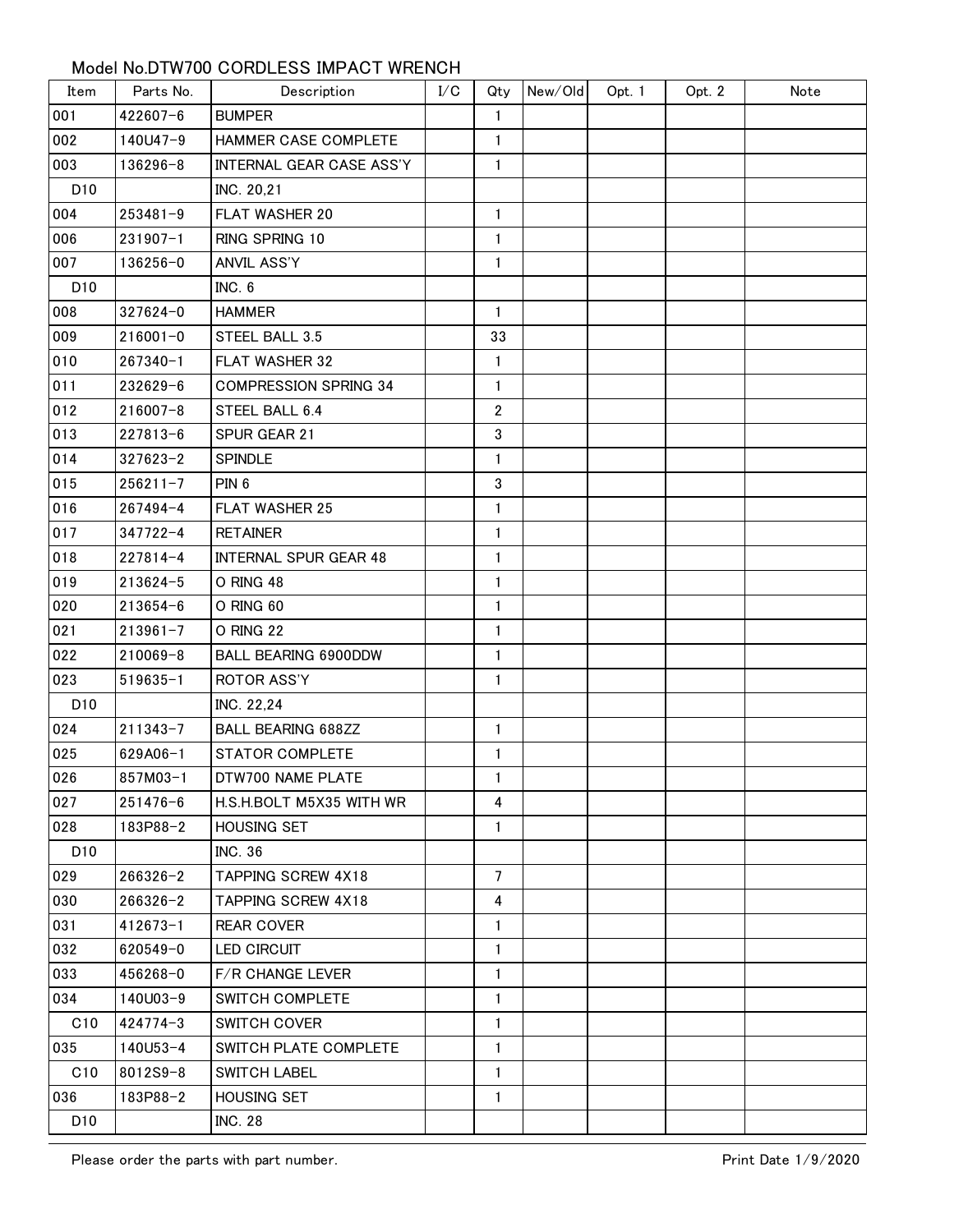## Model No.DTW700 CORDLESS IMPACT WRENCH

| Item            | Parts No.    | Description                  | I/C | Qty            | New/Old | Opt. 1 | Opt. 2 | Note |
|-----------------|--------------|------------------------------|-----|----------------|---------|--------|--------|------|
| 001             | 422607-6     | <b>BUMPER</b>                |     | 1              |         |        |        |      |
| 002             | 140U47-9     | HAMMER CASE COMPLETE         |     | $\mathbf{1}$   |         |        |        |      |
| 003             | 136296-8     | INTERNAL GEAR CASE ASS'Y     |     | 1              |         |        |        |      |
| D <sub>10</sub> |              | INC. 20,21                   |     |                |         |        |        |      |
| 004             | $253481 - 9$ | <b>FLAT WASHER 20</b>        |     | $\mathbf{1}$   |         |        |        |      |
| 006             | $231907 - 1$ | RING SPRING 10               |     | 1              |         |        |        |      |
| 007             | 136256-0     | ANVIL ASS'Y                  |     | 1              |         |        |        |      |
| D <sub>10</sub> |              | INC. 6                       |     |                |         |        |        |      |
| 008             | 327624-0     | <b>HAMMER</b>                |     | $\mathbf{1}$   |         |        |        |      |
| 009             | $216001 - 0$ | STEEL BALL 3.5               |     | 33             |         |        |        |      |
| 010             | $267340 - 1$ | FLAT WASHER 32               |     | 1              |         |        |        |      |
| 011             | 232629-6     | <b>COMPRESSION SPRING 34</b> |     | 1              |         |        |        |      |
| 012             | $216007 - 8$ | STEEL BALL 6.4               |     | $\overline{2}$ |         |        |        |      |
| 013             | $227813 - 6$ | SPUR GEAR 21                 |     | 3              |         |        |        |      |
| 014             | $327623 - 2$ | SPINDLE                      |     | 1              |         |        |        |      |
| 015             | $256211 - 7$ | PIN <sub>6</sub>             |     | 3              |         |        |        |      |
| 016             | $267494 - 4$ | <b>FLAT WASHER 25</b>        |     | $\mathbf{1}$   |         |        |        |      |
| 017             | $347722 - 4$ | <b>RETAINER</b>              |     | 1              |         |        |        |      |
| 018             | $227814 - 4$ | <b>INTERNAL SPUR GEAR 48</b> |     | 1              |         |        |        |      |
| 019             | 213624-5     | O RING 48                    |     | 1              |         |        |        |      |
| 020             | $213654 - 6$ | O RING 60                    |     | 1              |         |        |        |      |
| 021             | $213961 - 7$ | O RING 22                    |     | 1              |         |        |        |      |
| 022             | 210069-8     | BALL BEARING 6900DDW         |     | 1              |         |        |        |      |
| 023             | $519635 - 1$ | ROTOR ASS'Y                  |     | 1              |         |        |        |      |
| D <sub>10</sub> |              | INC. 22,24                   |     |                |         |        |        |      |
| 024             | $211343 - 7$ | <b>BALL BEARING 688ZZ</b>    |     | 1              |         |        |        |      |
| 025             | 629A06-1     | <b>STATOR COMPLETE</b>       |     | 1              |         |        |        |      |
| 026             | 857M03-1     | DTW700 NAME PLATE            |     | $\mathbf{1}$   |         |        |        |      |
| 027             | $251476 - 6$ | H.S.H.BOLT M5X35 WITH WR     |     | 4              |         |        |        |      |
| 028             | 183P88-2     | <b>HOUSING SET</b>           |     | $\mathbf{1}$   |         |        |        |      |
| D <sub>10</sub> |              | <b>INC. 36</b>               |     |                |         |        |        |      |
| 029             | $266326 - 2$ | <b>TAPPING SCREW 4X18</b>    |     | $\overline{7}$ |         |        |        |      |
| 030             | $266326 - 2$ | <b>TAPPING SCREW 4X18</b>    |     | 4              |         |        |        |      |
| 031             | $412673 - 1$ | <b>REAR COVER</b>            |     | $\mathbf{1}$   |         |        |        |      |
| 032             | 620549-0     | LED CIRCUIT                  |     | $\mathbf{1}$   |         |        |        |      |
| 033             | 456268-0     | <b>F/R CHANGE LEVER</b>      |     | $\mathbf{1}$   |         |        |        |      |
| 034             | 140U03-9     | SWITCH COMPLETE              |     | $\mathbf{1}$   |         |        |        |      |
| C10             | $424774 - 3$ | <b>SWITCH COVER</b>          |     | $\mathbf{1}$   |         |        |        |      |
| 035             | 140U53-4     | SWITCH PLATE COMPLETE        |     | $\mathbf{1}$   |         |        |        |      |
| C10             | 8012S9-8     | <b>SWITCH LABEL</b>          |     | 1              |         |        |        |      |
| 036             | 183P88-2     | <b>HOUSING SET</b>           |     | $\mathbf{1}$   |         |        |        |      |
| D <sub>10</sub> |              | <b>INC. 28</b>               |     |                |         |        |        |      |

Please order the parts with part number.<br>
Print Date 1/9/2020